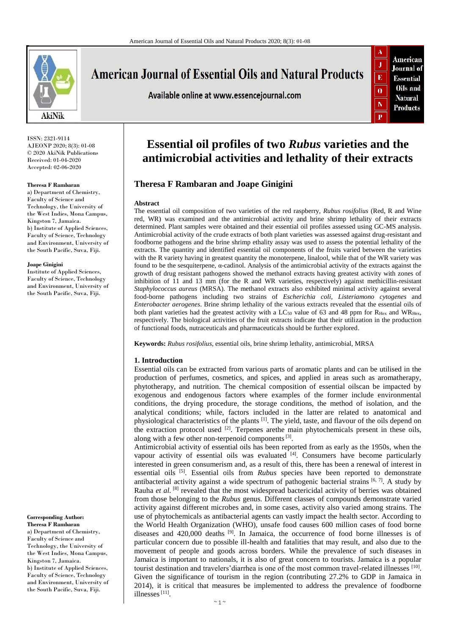

# **American Journal of Essential Oils and Natural Products**

Available online at www.essencejournal.com



ISSN: 2321-9114 AJEONP 2020; 8(3): 01-08 © 2020 AkiNik Publications Received: 01-04-2020 Accepted: 02-06-2020

#### **Theresa F Rambaran**

a) Department of Chemistry, Faculty of Science and Technology, the University of the West Indies, Mona Campus, Kingston 7, Jamaica. b) Institute of Applied Sciences, Faculty of Science, Technology and Environment, University of the South Pacific, Suva, Fiji.

#### **Joape Ginigini**

Institute of Applied Sciences, Faculty of Science, Technology and Environment, University of the South Pacific, Suva, Fiji.

#### **Corresponding Author: Theresa F Rambaran**

a) Department of Chemistry, Faculty of Science and Technology, the University of the West Indies, Mona Campus, Kingston 7, Jamaica. b) Institute of Applied Sciences, Faculty of Science, Technology and Environment, University of the South Pacific, Suva, Fiji.

# **Essential oil profiles of two** *Rubus* **varieties and the antimicrobial activities and lethality of their extracts**

# **Theresa F Rambaran and Joape Ginigini**

#### **Abstract**

The essential oil composition of two varieties of the red raspberry, *Rubus rosifolius* (Red, R and Wine red, WR) was examined and the antimicrobial activity and brine shrimp lethality of their extracts determined. Plant samples were obtained and their essential oil profiles assessed using GC-MS analysis. Antimicrobial activity of the crude extracts of both plant varieties was assessed against drug-resistant and foodborne pathogens and the brine shrimp ethality assay was used to assess the potential lethality of the extracts. The quantity and identified essential oil components of the fruits varied between the varieties with the R variety having in greatest quantity the monoterpene, linalool, while that of the WR variety was found to be the sesquiterpene, α-cadinol. Analysis of the antimicrobial activity of the extracts against the growth of drug resistant pathogens showed the methanol extracts having greatest activity with zones of inhibition of  $\overline{11}$  and  $\overline{13}$  mm (for the R and WR varieties, respectively) against methicillin-resistant *Staphylococcus aureus* (MRSA). The methanol extracts also exhibited minimal activity against several food-borne pathogens including two strains of *Escherichia coli, Listeriamono cytogenes* and *Enterobacter aerogenes*. Brine shrimp lethality of the various extracts revealed that the essential oils of both plant varieties had the greatest activity with a LC<sub>50</sub> value of 63 and 48 ppm for  $R_{Hex}$  and WR<sub>Hex</sub>, respectively. The biological activities of the fruit extracts indicate that their utilization in the production of functional foods, nutraceuticals and pharmaceuticals should be further explored.

**Keywords:** *Rubus rosifolius*, essential oils, brine shrimp lethality, antimicrobial, MRSA

#### **1. Introduction**

Essential oils can be extracted from various parts of aromatic plants and can be utilised in the production of perfumes, cosmetics, and spices, and applied in areas such as aromatherapy, phytotherapy, and nutrition. The chemical composition of essential oilscan be impacted by exogenous and endogenous factors where examples of the former include environmental conditions, the drying procedure, the storage conditions, the method of isolation, and the analytical conditions; while, factors included in the latter are related to anatomical and physiological characteristics of the plants [1]. The yield, taste, and flavour of the oils depend on the extraction protocol used <sup>[2]</sup>. Terpenes are the main phytochemicals present in these oils, along with a few other non-terpenoid components  $[3]$ .

Antimicrobial activity of essential oils has been reported from as early as the 1950s, when the vapour activity of essential oils was evaluated  $[4]$ . Consumers have become particularly interested in green consumerism and, as a result of this, there has been a renewal of interest in essential oils [5]. Essential oils from *Rubus* species have been reported to demonstrate antibacterial activity against a wide spectrum of pathogenic bacterial strains  $[6, 7]$ . A study by Rauha *et al.* <sup>[8]</sup> revealed that the most widespread bactericidal activity of berries was obtained from those belonging to the *Rubus* genus. Different classes of compounds demonstrate varied activity against different microbes and, in some cases, activity also varied among strains. The use of phytochemicals as antibacterial agents can vastly impact the health sector. According to the World Health Organization (WHO), unsafe food causes 600 million cases of food borne diseases and  $420,000$  deaths  $[9]$ . In Jamaica, the occurrence of food borne illnesses is of particular concern due to possible ill-health and fatalities that may result, and also due to the movement of people and goods across borders. While the prevalence of such diseases in Jamaica is important to nationals, it is also of great concern to tourists. Jamaica is a popular tourist destination and travelers' diarrhea is one of the most common travel-related illnesses [10]. Given the significance of tourism in the region (contributing 27.2% to GDP in Jamaica in 2014), it is critical that measures be implemented to address the prevalence of foodborne illnesses<sup>[11]</sup>.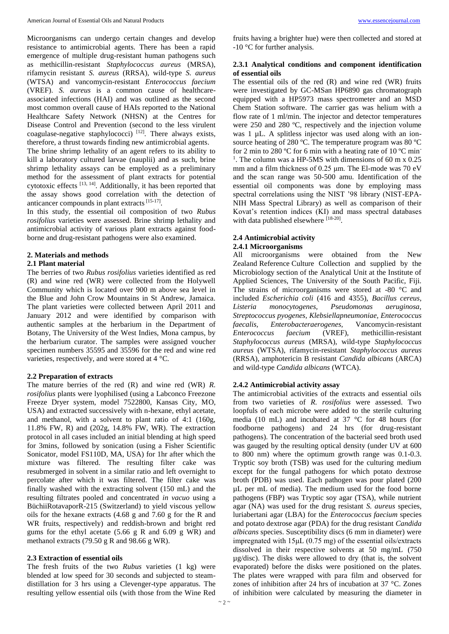Microorganisms can undergo certain changes and develop resistance to antimicrobial agents. There has been a rapid emergence of multiple drug-resistant human pathogens such as methicillin-resistant *Staphylococcus aureus* (MRSA), rifamycin resistant *S. aureus* (RRSA), wild-type *S. aureus* (WTSA) and vancomycin-resistant *Enterococcus faecium* (VREF). *S. aureus* is a common cause of healthcareassociated infections (HAI) and was outlined as the second most common overall cause of HAIs reported to the National Healthcare Safety Network (NHSN) at the Centres for Disease Control and Prevention (second to the less virulent coagulase-negative staphylococci) [12]. There always exists, therefore, a thrust towards finding new antimicrobial agents.

The brine shrimp lethality of an agent refers to its ability to kill a laboratory cultured larvae (nauplii) and as such, brine shrimp lethality assays can be employed as a preliminary method for the assessment of plant extracts for potential cytotoxic effects [13, 14]. Additionally, it has been reported that the assay shows good correlation with the detection of anticancer compounds in plant extracts [15-17].

In this study, the essential oil composition of two *Rubus rosifolius* varieties were assessed. Brine shrimp lethality and antimicrobial activity of various plant extracts against foodborne and drug-resistant pathogens were also examined.

#### **2. Materials and methods**

#### **2.1 Plant material**

The berries of two *Rubus rosifolius* varieties identified as red (R) and wine red (WR) were collected from the Holywell Community which is located over 900 m above sea level in the Blue and John Crow Mountains in St Andrew, Jamaica. The plant varieties were collected between April 2011 and January 2012 and were identified by comparison with authentic samples at the herbarium in the Department of Botany, The University of the West Indies, Mona campus, by the herbarium curator. The samples were assigned voucher specimen numbers 35595 and 35596 for the red and wine red varieties, respectively, and were stored at 4 °C.

#### **2.2 Preparation of extracts**

The mature berries of the red (R) and wine red (WR) *R. rosifolius* plants were lyophilised (using a Labconco Freezone Freeze Dryer system, model 7522800, Kansas City, MO, USA) and extracted successively with n-hexane, ethyl acetate, and methanol, with a solvent to plant ratio of 4:1 (160g, 11.8% FW, R) and (202g, 14.8% FW, WR). The extraction protocol in all cases included an initial blending at high speed for 3mins, followed by sonication (using a Fisher Scientific Sonicator, model FS110D, MA, USA) for 1hr after which the mixture was filtered. The resulting filter cake was resubmerged in solvent in a similar ratio and left overnight to percolate after which it was filtered. The filter cake was finally washed with the extracting solvent (150 mL) and the resulting filtrates pooled and concentrated *in vacuo* using a BüchiiRotavaporR-215 (Switzerland) to yield viscous yellow oils for the hexane extracts (4.68 g and 7.60 g for the R and WR fruits, respectively) and reddish-brown and bright red gums for the ethyl acetate (5.66 g R and 6.09 g WR) and methanol extracts (79.50 g R and 98.66 g WR).

# **2.3 Extraction of essential oils**

The fresh fruits of the two *Rubus* varieties (1 kg) were blended at low speed for 30 seconds and subjected to steamdistillation for 3 hrs using a Clevenger-type apparatus. The resulting yellow essential oils (with those from the Wine Red fruits having a brighter hue) were then collected and stored at -10 °C for further analysis.

#### **2.3.1 Analytical conditions and component identification of essential oils**

The essential oils of the red (R) and wine red (WR) fruits were investigated by GC-MSan HP6890 gas chromatograph equipped with a HP5973 mass spectrometer and an MSD Chem Station software. The carrier gas was helium with a flow rate of 1 ml/min. The injector and detector temperatures were 250 and 280 ºC, respectively and the injection volume was 1 µL. A splitless injector was used along with an ionsource heating of 280 °C. The temperature program was 80 °C for 2 min to 280 °C for 6 min with a heating rate of 10 °C min-<sup>1</sup>. The column was a HP-5MS with dimensions of 60 m x 0.25 mm and a film thickness of 0.25 μm. The El-mode was 70 eV and the scan range was 50-500 amu. Identification of the essential oil components was done by employing mass spectral correlations using the NIST '98 library (NIST-EPA-NIH Mass Spectral Library) as well as comparison of their Kovat's retention indices (KI) and mass spectral databases with data published elsewhere [18-20].

#### **2.4 Antimicrobial activity**

#### **2.4.1 Microorganisms**

All microorganisms were obtained from the New Zealand Reference Culture Collection and supplied by the Microbiology section of the Analytical Unit at the Institute of Applied Sciences, The University of the South Pacific, Fiji. The strains of microorganisms were stored at -80 °C and included *Escherichia coli* (416 and 4355), *Bacillus cereus, Listeria monocytogenes, Pseudomonas aeruginosa, Streptococcus pyogenes, Klebsiellapneumoniae, Enterococcus faecalis, Enterobacteraerogenes,* Vancomycin-resistant *Enterococcus faecium* (VREF), methicillin-resistant *Staphylococcus aureus* (MRSA), wild-type *Staphylococcus aureus* (WTSA), rifamycin-resistant *Staphylococcus aureus* (RRSA), amphotericin B resistant *Candida albicans* (ARCA) and wild-type *Candida albicans* (WTCA).

#### **2.4.2 Antimicrobial activity assay**

The antimicrobial activities of the extracts and essential oils from two varieties of *R. rosifolius* were assessed. Two loopfuls of each microbe were added to the sterile culturing media (10 mL) and incubated at 37  $\degree$ C for 48 hours (for foodborne pathogens) and 24 hrs (for drug-resistant pathogens). The concentration of the bacterial seed broth used was gauged by the resulting optical density (under UV at 600 to 800 nm) where the optimum growth range was 0.1-0.3. Tryptic soy broth (TSB) was used for the culturing medium except for the fungal pathogens for which potato dextrose broth (PDB) was used. Each pathogen was pour plated (200 µL per mL of media). The medium used for the food borne pathogens (FBP) was Tryptic soy agar (TSA), while nutrient agar (NA) was used for the drug resistant *S. aureus* species, luriabertani agar (LBA) for the *Enterococcus faecium* species and potato dextrose agar (PDA) for the drug resistant *Candida albicans* species. Susceptibility discs (6 mm in diameter) were impregnated with 15μL (0.75 mg) of the essential oils/extracts dissolved in their respective solvents at 50 mg/mL (750 µg/disc). The disks were allowed to dry (that is, the solvent evaporated) before the disks were positioned on the plates. The plates were wrapped with para film and observed for zones of inhibition after 24 hrs of incubation at 37 °C. Zones of inhibition were calculated by measuring the diameter in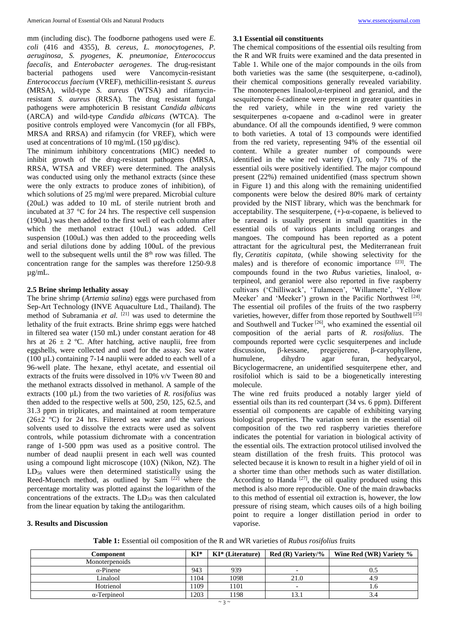mm (including disc). The foodborne pathogens used were *E. coli* (416 and 4355), *B. cereus, L. monocytogenes, P. aeruginosa, S. pyogenes, K. pneumoniae, Enterococcus faecalis,* and *Enterobacter aerogenes*. The drug-resistant bacterial pathogens used were Vancomycin-resistant *Enterococcus faecium* (VREF), methicillin-resistant *S. aureus* (MRSA), wild-type *S. aureus* (WTSA) and rifamycinresistant *S. aureus* (RRSA). The drug resistant fungal pathogens were amphotericin B resistant *Candida albicans* (ARCA) and wild-type *Candida albicans* (WTCA). The positive controls employed were Vancomycin (for all FBPs, MRSA and RRSA) and rifamycin (for VREF), which were used at concentrations of 10 mg/mL (150 µg/disc). The minimum inhibitory concentrations (MIC) needed to inhibit growth of the drug-resistant pathogens (MRSA, RRSA, WTSA and VREF) were determined. The analysis was conducted using only the methanol extracts (since these were the only extracts to produce zones of inhibition), of which solutions of 25 mg/ml were prepared. Microbial culture (20uL) was added to 10 mL of sterile nutrient broth and incubated at 37 °C for 24 hrs. The respective cell suspension (190uL) was then added to the first well of each column after which the methanol extract (10uL) was added. Cell suspension (100uL) was then added to the proceeding wells and serial dilutions done by adding 100uL of the previous

well to the subsequent wells until the 8<sup>th</sup> row was filled. The concentration range for the samples was therefore 1250-9.8

## **2.5 Brine shrimp lethality assay**

µg/mL.

The brine shrimp (*Artemia salina*) eggs were purchased from Sep-Art Technology (INVE Aquaculture Ltd., Thailand). The method of Subramania *et al.* [21] was used to determine the lethality of the fruit extracts. Brine shrimp eggs were hatched in filtered sea water (150 mL) under constant aeration for 48 hrs at  $26 \pm 2$  °C. After hatching, active nauplii, free from eggshells, were collected and used for the assay. Sea water (100  $\mu$ L) containing 7-14 nauplii were added to each well of a 96-well plate. The hexane, ethyl acetate, and essential oil extracts of the fruits were dissolved in 10% v/v Tween 80 and the methanol extracts dissolved in methanol. A sample of the extracts (100 µL) from the two varieties of *R. rosifolius* was then added to the respective wells at 500, 250, 125, 62.5, and 31.3 ppm in triplicates, and maintained at room temperature  $(26\pm2~\text{°C})$  for 24 hrs. Filtered sea water and the various solvents used to dissolve the extracts were used as solvent controls, while potassium dichromate with a concentration range of 1-500 ppm was used as a positive control. The number of dead nauplii present in each well was counted using a compound light microscope (10X) (Nikon, NZ). The  $LD_{50}$  values were then determined statistically using the Reed-Muench method, as outlined by Sam [22] where the percentage mortality was plotted against the logarithm of the concentrations of the extracts. The  $LD_{50}$  was then calculated from the linear equation by taking the antilogarithm.

**3.1 Essential oil constituents**

sesquiterpenes  $\alpha$ -copaene and  $\alpha$ -cadinol were in greater abundance. Of all the compounds identified, 9 were common to both varieties. A total of 13 compounds were identified from the red variety, representing 94% of the essential oil content. While a greater number of compounds were identified in the wine red variety (17), only 71% of the essential oils were positively identified. The major compound present (22%) remained unidentified (mass spectrum shown in Figure 1) and this along with the remaining unidentified components were below the desired 80% mark of certainty provided by the NIST library, which was the benchmark for acceptability. The sesquiterpene,  $(+)$ - $\alpha$ -copaene, is believed to be rareand is usually present in small quantities in the essential oils of various plants including oranges and mangoes. The compound has been reported as a potent attractant for the agricultural pest, the Mediterranean fruit fly, *Ceratitis capitata*, (while showing selectivity for the males) and is therefore of economic importance [23]. The compounds found in the two *Rubus* varieties, linalool, αterpineol, and geraniol were also reported in five raspberry cultivars ('Chilliwack', 'Tulameen', 'Willamette', 'Yellow Meeker' and 'Meeker') grown in the Pacific Northwest [24]. The essential oil profiles of the fruits of the two raspberry varieties, however, differ from those reported by Southwell<sup>[25]</sup> and Southwell and Tucker [26], who examined the essential oil composition of the aerial parts of *R. rosifolius*. The compounds reported were cyclic sesquiterpenes and include discussion, β-kessane, pregeijerene, β-caryophyllene, humulene, dihydro agar furan, hedycaryol, Bicyclogermacrene, an unidentified sesquiterpene ether, and rosifoliol which is said to be a biogenetically interesting molecule.

The chemical compositions of the essential oils resulting from the R and WR fruits were examined and the data presented in Table 1. While one of the major compounds in the oils from both varieties was the same (the sesquiterpene,  $\alpha$ -cadinol), their chemical compositions generally revealed variability. The monoterpenes linalool, $\alpha$ -terpineol and geraniol, and the sesquiterpene δ-cadinene were present in greater quantities in the red variety, while in the wine red variety the

The wine red fruits produced a notably larger yield of essential oils than its red counterpart (34 vs. 6 ppm). Different essential oil components are capable of exhibiting varying biological properties. The variation seen in the essential oil composition of the two red raspberry varieties therefore indicates the potential for variation in biological activity of the essential oils. The extraction protocol utilised involved the steam distillation of the fresh fruits. This protocol was selected because it is known to result in a higher yield of oil in a shorter time than other methods such as water distillation. According to Handa  $[27]$ , the oil quality produced using this method is also more reproducible. One of the main drawbacks to this method of essential oil extraction is, however, the low pressure of rising steam, which causes oils of a high boiling point to require a longer distillation period in order to vaporise.

#### **3. Results and Discussion**

**Table 1:** Essential oil composition of the R and WR varieties of *Rubus rosifolius* fruits

| Component           | $KI^*$ | KI* (Literature) | $\mid$ Red (R) Variety/% | Wine Red (WR) Variety % |
|---------------------|--------|------------------|--------------------------|-------------------------|
| Monoterpenoids      |        |                  |                          |                         |
| $\alpha$ -Pinene    | 943    | 939              | $\overline{\phantom{0}}$ | U.S                     |
| Linalool            | 1104   | 1098             | 21.0                     | 4.9                     |
| Hotrienol           | 1109   | 101              | $\overline{\phantom{0}}$ | 1.0                     |
| $\alpha$ -Terpineol | 1203   | 198              |                          | 3.4                     |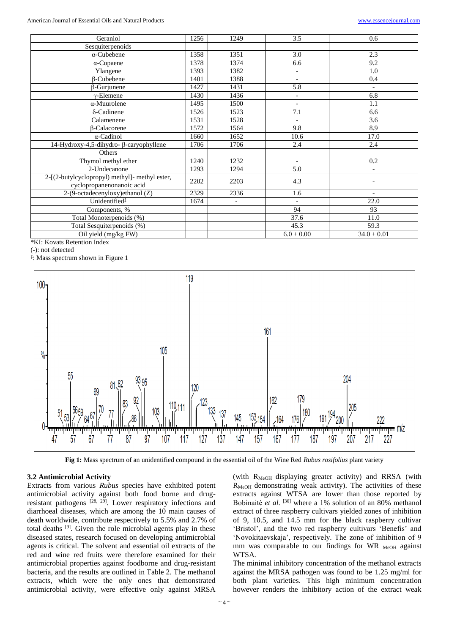| Geraniol                                                                    | 1256 | 1249           | 3.5                      | 0.6                      |
|-----------------------------------------------------------------------------|------|----------------|--------------------------|--------------------------|
| Sesquiterpenoids                                                            |      |                |                          |                          |
| $\alpha$ -Cubebene                                                          | 1358 | 1351           | 3.0                      | 2.3                      |
| $\alpha$ -Copaene                                                           | 1378 | 1374           | 6.6                      | 9.2                      |
| Ylangene                                                                    | 1393 | 1382           | $\overline{\phantom{a}}$ | 1.0                      |
| <b>B-Cubebene</b>                                                           | 1401 | 1388           | $\overline{\phantom{a}}$ | 0.4                      |
| $\beta$ -Gurjunene                                                          | 1427 | 1431           | $\overline{5.8}$         | $\overline{\phantom{a}}$ |
| $\gamma$ -Elemene                                                           | 1430 | 1436           | $\overline{a}$           | 6.8                      |
| $\alpha$ -Muurolene                                                         | 1495 | 1500           | $\overline{a}$           | 1.1                      |
| δ-Cadinene                                                                  | 1526 | 1523           | 7.1                      | 6.6                      |
| Calamenene                                                                  | 1531 | 1528           | $\overline{\phantom{0}}$ | 3.6                      |
| β-Calacorene                                                                | 1572 | 1564           | 9.8                      | 8.9                      |
| $\alpha$ -Cadinol                                                           | 1660 | 1652           | 10.6                     | 17.0                     |
| 14-Hydroxy-4,5-dihydro- β-caryophyllene                                     | 1706 | 1706           | 2.4                      | 2.4                      |
| Others                                                                      |      |                |                          |                          |
| Thymol methyl ether                                                         | 1240 | 1232           | $\overline{\phantom{a}}$ | 0.2                      |
| 2-Undecanone                                                                | 1293 | 1294           | 5.0                      | $\blacksquare$           |
| 2-[(2-butylcyclopropyl) methyl]- methyl ester,<br>cyclopropanenonanoic acid | 2202 | 2203           | 4.3                      |                          |
| 2-(9-octadecenyloxy)ethanol (Z)                                             | 2329 | 2336           | 1.6                      | $\overline{\phantom{a}}$ |
| Unidentified <sup>#</sup>                                                   | 1674 | $\overline{a}$ |                          | 22.0                     |
| Components, %                                                               |      |                | 94                       | 93                       |
| Total Monoterpenoids (%)                                                    |      |                | 37.6                     | 11.0                     |
| Total Sesquiterpenoids (%)                                                  |      |                | 45.3                     | 59.3                     |
| Oil yield (mg/kg FW)                                                        |      |                | $6.0 \pm 0.00$           | $34.0 \pm 0.01$          |

\*KI: Kovats Retention Index

(-): not detected

**‡** : Mass spectrum shown in Figure 1



**Fig 1:** Mass spectrum of an unidentified compound in the essential oil of the Wine Red *Rubus rosifolius* plant variety

## **3.2 Antimicrobial Activity**

Extracts from various *Rubus* species have exhibited potent antimicrobial activity against both food borne and drugresistant pathogens  $^{[28, 29]}$ . Lower respiratory infections and diarrhoeal diseases, which are among the 10 main causes of death worldwide, contribute respectively to 5.5% and 2.7% of total deaths [9]. Given the role microbial agents play in these diseased states, research focused on developing antimicrobial agents is critical. The solvent and essential oil extracts of the red and wine red fruits were therefore examined for their antimicrobial properties against foodborne and drug-resistant bacteria, and the results are outlined in Table 2. The methanol extracts, which were the only ones that demonstrated antimicrobial activity, were effective only against MRSA

(with  $R_{MeOH}$  displaying greater activity) and RRSA (with R<sub>MeOH</sub> demonstrating weak activity). The activities of these extracts against WTSA are lower than those reported by Bobinaitė *et al.* <sup>[30]</sup> where a 1% solution of an 80% methanol extract of three raspberry cultivars yielded zones of inhibition of 9, 10.5, and 14.5 mm for the black raspberry cultivar 'Bristol', and the two red raspberry cultivars 'Benefis' and 'Novokitaevskaja', respectively. The zone of inhibition of 9 mm was comparable to our findings for WR  $_{\text{MeOH}}$  against WTSA.

The minimal inhibitory concentration of the methanol extracts against the MRSA pathogen was found to be 1.25 mg/ml for both plant varieties. This high minimum concentration however renders the inhibitory action of the extract weak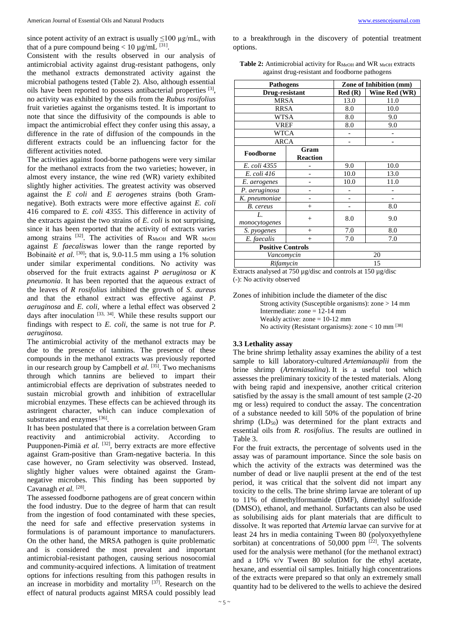since potent activity of an extract is usually  $\leq 100 \text{ ug/mL}$ , with that of a pure compound being  $< 10 \mu g/mL$  [31].

Consistent with the results observed in our analysis of antimicrobial activity against drug-resistant pathogens, only the methanol extracts demonstrated activity against the microbial pathogens tested (Table 2). Also, although essential oils have been reported to possess antibacterial properties <sup>[3]</sup>, no activity was exhibited by the oils from the *Rubus rosifolius* fruit varieties against the organisms tested. It is important to note that since the diffusivity of the compounds is able to impact the antimicrobial effect they confer using this assay, a difference in the rate of diffusion of the compounds in the different extracts could be an influencing factor for the different activities noted.

The activities against food-borne pathogens were very similar for the methanol extracts from the two varieties; however, in almost every instance, the wine red (WR) variety exhibited slightly higher activities. The greatest activity was observed against the *E coli* and *E aerogenes* strains (both Gramnegative). Both extracts were more effective against *E. coli* 416 compared to *E. coli 4355*. This difference in activity of the extracts against the two strains of *E. coli* is not surprising, since it has been reported that the activity of extracts varies among strains  $^{[32]}$ . The activities of  $R_{MeOH}$  and WR MeOH against *E faecalis*was lower than the range reported by Bobinaitė *et al.* <sup>[30]</sup>; that is, 9.0-11.5 mm using a 1% solution under similar experimental conditions. No activity was observed for the fruit extracts against *P aeruginosa* or *K pneumonia*. It has been reported that the aqueous extract of the leaves of *R rosifolius* inhibited the growth of *S. aureus* and that the ethanol extract was effective against *P. aeruginosa* and *E. coli,* where a lethal effect was observed 2 days after inoculation [33, 34]. While these results support our findings with respect to *E. coli*, the same is not true for *P. aeruginosa.*

The antimicrobial activity of the methanol extracts may be due to the presence of tannins. The presence of these compounds in the methanol extracts was previously reported in our research group by Campbell *et al.* [35]. Two mechanisms through which tannins are believed to impart their antimicrobial effects are deprivation of substrates needed to sustain microbial growth and inhibition of extracellular microbial enzymes. These effects can be achieved through its astringent character, which can induce complexation of substrates and enzymes<sup>[36]</sup>.

It has been postulated that there is a correlation between Gram reactivity and antimicrobial activity. According to Puupponen-Pimiä *et al.* <sup>[32]</sup>, berry extracts are more effective against Gram-positive than Gram-negative bacteria. In this case however, no Gram selectivity was observed. Instead, slightly higher values were obtained against the Gramnegative microbes. This finding has been supported by Cavanagh et al.<sup>[28]</sup>.

The assessed foodborne pathogens are of great concern within the food industry. Due to the degree of harm that can result from the ingestion of food contaminated with these species, the need for safe and effective preservation systems in formulations is of paramount importance to manufacturers. On the other hand, the MRSA pathogen is quite problematic and is considered the most prevalent and important antimicrobial-resistant pathogen, causing serious nosocomial and community-acquired infections. A limitation of treatment options for infections resulting from this pathogen results in an increase in morbidity and mortality  $[37]$ . Research on the effect of natural products against MRSA could possibly lead

to a breakthrough in the discovery of potential treatment options.

**Table 2:** Antimicrobial activity for R<sub>MeOH</sub> and WR <sub>MeOH</sub> extracts against drug-resistant and foodborne pathogens

| <b>Pathogens</b>         |                         |        | Zone of Inhibition (mm) |  |  |
|--------------------------|-------------------------|--------|-------------------------|--|--|
| Drug-resistant           |                         | Red(R) | Wine Red (WR)           |  |  |
|                          | <b>MRSA</b>             |        | 11.0                    |  |  |
| <b>RRSA</b>              |                         | 8.0    | 10.0                    |  |  |
| WTSA                     |                         | 8.0    | 9.0                     |  |  |
| <b>VREF</b>              |                         | 8.0    | 9.0                     |  |  |
|                          | <b>WTCA</b>             |        |                         |  |  |
| <b>ARCA</b>              |                         |        |                         |  |  |
| Foodborne                | Gram<br><b>Reaction</b> |        |                         |  |  |
| E. coli 4355             |                         | 9.0    | 10.0                    |  |  |
| E. coli 416              |                         | 10.0   | 13.0                    |  |  |
| E. aerogenes             |                         | 10.0   | 11.0                    |  |  |
| P. aeruginosa            |                         |        |                         |  |  |
| K. pneumoniae            |                         |        |                         |  |  |
| B. cereus                | $^{+}$                  |        | 8.0                     |  |  |
| L.<br>monocytogenes      | $^{+}$                  | 8.0    | 9.0                     |  |  |
| S. pyogenes              | $^{+}$                  | 7.0    | 8.0                     |  |  |
| E. faecalis              | $^{+}$                  | 7.0    | 7.0                     |  |  |
| <b>Positive Controls</b> |                         |        |                         |  |  |
| Vancomycin               |                         |        | 20                      |  |  |
| Rifamycin                |                         | 15     |                         |  |  |

Extracts analysed at 750 µg/disc and controls at 150 µg/disc (-): No activity observed

Zones of inhibition include the diameter of the disc Strong activity (Susceptible organisms): zone > 14 mm Intermediate: zone = 12-14 mm Weakly active: zone  $= 10-12$  mm No activity (Resistant organisms): zone  $< 10$  mm  $^{[38]}$ 

#### **3.3 Lethality assay**

The brine shrimp lethality assay examines the ability of a test sample to kill laboratory-cultured *Artemianauplii* from the brine shrimp (*Artemiasalina*). It is a useful tool which assesses the preliminary toxicity of the tested materials. Along with being rapid and inexpensive, another critical criterion satisfied by the assay is the small amount of test sample (2-20 mg or less) required to conduct the assay. The concentration of a substance needed to kill 50% of the population of brine shrimp  $(LD_{50})$  was determined for the plant extracts and essential oils from *R. rosifolius*. The results are outlined in Table 3.

For the fruit extracts, the percentage of solvents used in the assay was of paramount importance. Since the sole basis on which the activity of the extracts was determined was the number of dead or live nauplii present at the end of the test period, it was critical that the solvent did not impart any toxicity to the cells. The brine shrimp larvae are tolerant of up to 11% of dimethylformamide (DMF), dimethyl sulfoxide (DMSO), ethanol, and methanol. Surfactants can also be used as solubilising aids for plant materials that are difficult to dissolve. It was reported that *Artemia* larvae can survive for at least 24 hrs in media containing Tween 80 (polyoxyethylene sorbitan) at concentrations of  $50,000$  ppm  $^{[22]}$ . The solvents used for the analysis were methanol (for the methanol extract) and a 10% v/v Tween 80 solution for the ethyl acetate, hexane, and essential oil samples. Initially high concentrations of the extracts were prepared so that only an extremely small quantity had to be delivered to the wells to achieve the desired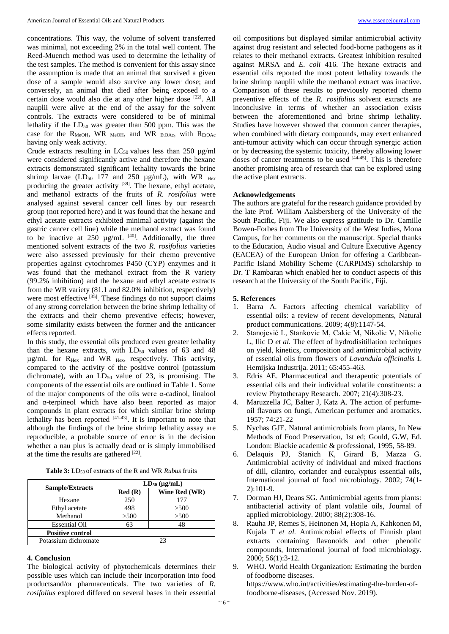concentrations. This way, the volume of solvent transferred was minimal, not exceeding 2% in the total well content. The Reed-Muench method was used to determine the lethality of the test samples. The method is convenient for this assay since the assumption is made that an animal that survived a given dose of a sample would also survive any lower dose; and conversely, an animal that died after being exposed to a certain dose would also die at any other higher dose [22]. All nauplii were alive at the end of the assay for the solvent controls. The extracts were considered to be of minimal lethality if the  $LD_{50}$  was greater than 500 ppm. This was the case for the  $R_{MeOH}$ , WR <sub>MeOH</sub>, and WR  $_{EtOAc}$ , with  $R_{EtOAc}$ having only weak activity.

Crude extracts resulting in  $LC_{50}$  values less than 250  $\mu$ g/ml were considered significantly active and therefore the hexane extracts demonstrated significant lethality towards the brine shrimp larvae (LD<sub>50</sub> 177 and 250  $\mu$ g/mL), with WR  $_{\text{Hex}}$ producing the greater activity <sup>[39]</sup>. The hexane, ethyl acetate, and methanol extracts of the fruits of *R. rosifolius* were analysed against several cancer cell lines by our research group (not reported here) and it was found that the hexane and ethyl acetate extracts exhibited minimal activity (against the gastric cancer cell line) while the methanol extract was found to be inactive at 250  $\mu$ g/mL <sup>[40]</sup>. Additionally, the three mentioned solvent extracts of the two *R. rosifolius* varieties were also assessed previously for their chemo preventive properties against cytochromes P450 (CYP) enzymes and it was found that the methanol extract from the R variety (99.2% inhibition) and the hexane and ethyl acetate extracts from the WR variety (81.1 and 82.0% inhibition, respectively) were most effective <sup>[35]</sup>. These findings do not support claims of any strong correlation between the brine shrimp lethality of the extracts and their chemo preventive effects; however, some similarity exists between the former and the anticancer effects reported.

In this study, the essential oils produced even greater lethality than the hexane extracts, with  $LD_{50}$  values of 63 and 48  $\mu$ g/mL for R<sub>Hex</sub> and WR <sub>Hex</sub>, respectively. This activity, compared to the activity of the positive control (potassium dichromate), with an  $LD_{50}$  value of 23, is promising. The components of the essential oils are outlined in Table 1. Some of the major components of the oils were α-cadinol, linalool and α-terpineol which have also been reported as major compounds in plant extracts for which similar brine shrimp lethality has been reported  $[41-43]$ . It is important to note that although the findings of the brine shrimp lethality assay are reproducible, a probable source of error is in the decision whether a nau plus is actually dead or is simply immobilised at the time the results are gathered [22].

| <b>Table 3:</b> LD <sub>50</sub> of extracts of the R and WR <i>Rubus</i> fruits |  |  |  |
|----------------------------------------------------------------------------------|--|--|--|
|----------------------------------------------------------------------------------|--|--|--|

|                         | $LD_{50}$ (µg/mL) |               |  |
|-------------------------|-------------------|---------------|--|
| Sample/Extracts         | Red(R)            | Wine Red (WR) |  |
| Hexane                  | 250               | 177           |  |
| Ethyl acetate           | 498               | >500          |  |
| Methanol                | >500              | >500          |  |
| <b>Essential Oil</b>    | 63                |               |  |
| <b>Positive control</b> |                   |               |  |
| Potassium dichromate    | 23                |               |  |

#### **4. Conclusion**

The biological activity of phytochemicals determines their possible uses which can include their incorporation into food productsand/or pharmaceuticals. The two varieties of *R. rosifolius* explored differed on several bases in their essential

oil compositions but displayed similar antimicrobial activity against drug resistant and selected food-borne pathogens as it relates to their methanol extracts. Greatest inhibition resulted against MRSA and *E. coli* 416. The hexane extracts and essential oils reported the most potent lethality towards the brine shrimp nauplii while the methanol extract was inactive. Comparison of these results to previously reported chemo preventive effects of the *R. rosifolius* solvent extracts are inconclusive in terms of whether an association exists between the aforementioned and brine shrimp lethality. Studies have however showed that common cancer therapies, when combined with dietary compounds, may exert enhanced anti-tumour activity which can occur through synergic action or by decreasing the systemic toxicity, thereby allowing lower doses of cancer treatments to be used [44-45]. This is therefore another promising area of research that can be explored using the active plant extracts.

#### **Acknowledgements**

The authors are grateful for the research guidance provided by the late Prof. William Aalsbersberg of the University of the South Pacific, Fiji. We also express gratitude to Dr. Camille Bowen-Forbes from The University of the West Indies, Mona Campus, for her comments on the manuscript. Special thanks to the Education, Audio visual and Culture Executive Agency (EACEA) of the European Union for offering a Caribbean-Pacific Island Mobility Scheme (CARPIMS) scholarship to Dr. T Rambaran which enabled her to conduct aspects of this research at the University of the South Pacific, Fiji.

# **5. References**

- 1. Barra A. Factors affecting chemical variability of essential oils: a review of recent developments, Natural product communications. 2009; 4(8):1147-54.
- 2. Stanojević L, Stankovic M, Cakic M, Nikolic V, Nikolic L, Ilic D *et al.* The effect of hydrodisitillation techniques on yield, kinetics, composition and antimicrobial activity of essential oils from flowers of *Lavandula officinalis* L Hemijska Industrija. 2011; 65:455-463.
- 3. Edris AE. Pharmaceutical and therapeutic potentials of essential oils and their individual volatile constituents: a review Phytotherapy Research. 2007; 21(4):308-23.
- 4. Maruzzella JC, Balter J, Katz A. The action of perfumeoil flavours on fungi, American perfumer and aromatics. 1957; 74:21-22
- 5. Nychas GJE. Natural antimicrobials from plants, In New Methods of Food Preservation, 1st ed; Gould, G.W, Ed. London: Blackie academic & professional, 1995, 58-89.
- 6. Delaquis PJ, Stanich K, Girard B, Mazza G. Antimicrobial activity of individual and mixed fractions of dill, cilantro, coriander and eucalyptus essential oils, International journal of food microbiology. 2002; 74(1- 2):101-9.
- 7. Dorman HJ, Deans SG. Antimicrobial agents from plants: antibacterial activity of plant volatile oils, Journal of applied microbiology. 2000; 88(2):308-16.
- 8. Rauha JP, Remes S, Heinonen M, Hopia A, Kahkonen M, Kujala T *et al.* Antimicrobial effects of Finnish plant extracts containing flavonoids and other phenolic compounds, International journal of food microbiology. 2000; 56(1):3-12.
- 9. WHO. World Health Organization: Estimating the burden of foodborne diseases. https://www.who.int/activities/estimating-the-burden-offoodborne-diseases, (Accessed Nov. 2019).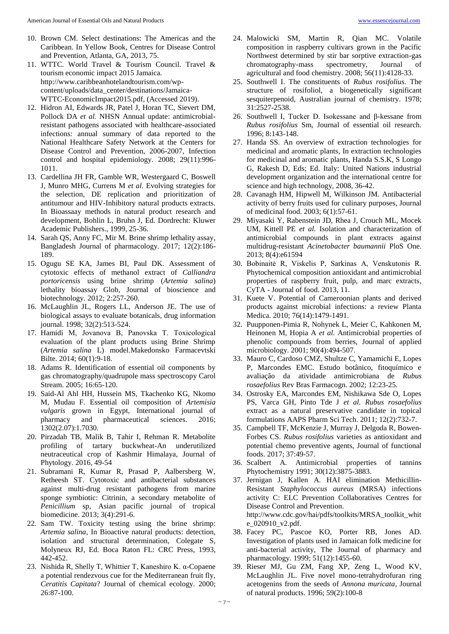- 10. Brown CM. Select destinations: The Americas and the Caribbean. In Yellow Book, Centres for Disease Control and Prevention, Atlanta, GA, 2013, 75.
- 11. WTTC. World Travel & Tourism Council. Travel & tourism economic impact 2015 Jamaica. http://www.caribbeanhotelandtourism.com/wpcontent/uploads/data\_center/destinations/Jamaica-WTTC-EconomicImpact2015.pdf, (Accessed 2019).
- 12. Hidron AI, Edwards JR, Patel J, Horan TC, Sievert DM, Pollock DA *et al.* NHSN Annual update: antimicrobialresistant pathogens associated with healthcare-associated infections: annual summary of data reported to the National Healthcare Safety Network at the Centers for Disease Control and Prevention, 2006-2007, Infection control and hospital epidemiology. 2008; 29(11):996- 1011.
- 13. Cardellina JH FR, Gamble WR, Westergaard C, Boswell J, Munro MHG, Currens M *et al.* Evolving strategies for the selection, DE replication and prioritization of antitumour and HIV-Inhibitory natural products extracts. In Bioassaay methods in natural product research and development, Bohlin L, Bruhn J, Ed. Dordrecht: Kluwer Academic Publishers., 1999, 25-36.
- 14. Sarah QS, Anny FC, Mir M. Brine shrimp lethality assay, Bangladesh Journal of pharmacology. 2017; 12(2):186- 189.
- 15. Ogugu SE KA, James BI, Paul DK. Assessment of cytotoxic effects of methanol extract of *Calliandra portoricensis* using brine shrimp (*Artemia salina*) lethality bioassay Glob, Journal of bioscience and biotechnology. 2012; 2:257-260.
- 16. McLaughlin JL, Rogers LL, Anderson JE. The use of biological assays to evaluate botanicals, drug information journal. 1998; 32(2):513-524.
- 17. Hamidi M, Jovanova B, Panovska T. Toxicоlogical evaluation of the plant products using Brine Shrimp (*Artemia salina* L) model.Makedonsko Farmacevtski Bilte. 2014; 60(1):9-18.
- 18. Adams R. Identification of essential oil components by gas chromatography/quadrupole mass spectroscopy Carol Stream. 2005; 16:65-120.
- 19. Said-Al Ahl HH, Hussein MS, Tkachenko KG, Nkomo M, Mudau F. Essential oil composition of *Artemisia vulgaris* grown in Egypt, International journal of pharmacy and pharmaceutical sciences. 2016; 1302(2.07):1.7030.
- 20. Pirzadah TB, Malik B, Tahir I, Rehman R. Metabolite profiling of tartary buckwheat-An underutilized neutraceutical crop of Kashmir Himalaya, Journal of Phytology. 2016, 49-54
- 21. Subramani R, Kumar R, Prasad P, Aalbersberg W, Retheesh ST. Cytotoxic and antibacterial substances against multi-drug resistant pathogens from marine sponge symbiotic: Citrinin, a secondary metabolite of *Penicillium* sp, Asian pacific journal of tropical biomedicine. 2013; 3(4):291-6.
- 22. Sam TW. Toxicity testing using the brine shrimp: *Artemia salina*, In Bioactive natural products: detection, isolation and structural determination, Colegate S, Molyneux RJ, Ed. Boca Raton FL: CRC Press, 1993, 442-452.
- 23. Nishida R, Shelly T, Whittier T, Kaneshiro K. α-Copaene a potential rendezvous cue for the Mediterranean fruit fly, *Ceratitis Capitata*? Journal of chemical ecology. 2000; 26:87-100.
- 24. Malowicki SM, Martin R, Qian MC. Volatile composition in raspberry cultivars grown in the Pacific Northwest determined by stir bar sorptive extraction-gas chromatography-mass spectrometry, Journal of agricultural and food chemistry. 2008; 56(11):4128-33.
- 25. Southwell I. The constituents of *Rubus rosifolius*. The structure of rosifoliol, a biogenetically significant sesquiterpenoid, Australian journal of chemistry. 1978; 31:2527-2538.
- 26. Southwell I, Tucker D. Isokessane and β-kessane from *Rubus rosifolius* Sm, Journal of essential oil research. 1996; 8:143-148.
- 27. Handa SS. An overview of extraction technologies for medicinal and aromatic plants, In extraction technologies for medicinal and aromatic plants, Handa S.S.K, S Longo G, Rakesh D, Eds; Ed. Italy: United Nations industrial development organization and the international centre for science and high technology, 2008, 36-42.
- 28. Cavanagh HM, Hipwell M, Wilkinson JM. Antibacterial activity of berry fruits used for culinary purposes, Journal of medicinal food. 2003; 6(1):57-61.
- 29. Miyasaki Y, Rabenstein JD, Rhea J, Crouch ML, Mocek UM, Kittell PE *et al.* Isolation and characterization of antimicrobial compounds in plant extracts against multidrug-resistant *Acinetobacter baumannii* PloS One. 2013; 8(4):e61594
- 30. Bobinaitė R, Viskelis P, Sarkinas A, Venskutonis R. Phytochemical composition antioxidant and antimicrobial properties of raspberry fruit, pulp, and marc extracts, CyTA - Journal of food. 2013, 11.
- 31. Kuete V. Potential of Cameroonian plants and derived products against microbial infections: a review Planta Medica. 2010; 76(14):1479-1491.
- 32. Puupponen-Pimia R, Nohynek L, Meier C, Kahkonen M, Heinonen M, Hopia A *et al.* Antimicrobial properties of phenolic compounds from berries, Journal of applied microbiology. 2001; 90(4):494-507.
- 33. Mauro C, Cardoso CMZ, Shultze C, Yamamichi E, Lopes P, Marcondes EMC. Estudo botânico, fitoquímico e avaliação da atividade antimicrobiana de *Rubus rosaefolius* Rev Bras Farmacogn. 2002; 12:23-25.
- 34. Ostrosky EA, Marcondes EM, Nishikawa Sde O, Lopes PS, Varca GH, Pinto Tde J *et al. Rubus rosaefolius* extract as a natural preservative candidate in topical formulations AAPS Pharm Sci Tech. 2011; 12(2):732-7.
- 35. Campbell TF, McKenzie J, Murray J, Delgoda R, Bowen-Forbes CS. *Rubus rosifolius* varieties as antioxidant and potential chemo preventive agents, Journal of functional foods. 2017; 37:49-57.
- 36. Scalbert A. Antimicrobial properties of tannins Phytochemistry 1991; 30(12):3875-3883.
- 37. Jernigan J, Kallen A. HAI elimination Methicillin-Resistant *Staphylococcus aureus* (MRSA) infections activity C: ELC Prevention Collaboratives Centres for Disease Control and Prevention. http://www.cdc.gov/hai/pdfs/toolkits/MRSA\_toolkit\_whit e\_020910\_v2.pdf.
- 38. Facey PC, Pascoe KO, Porter RB, Jones AD. Investigation of plants used in Jamaican folk medicine for anti-bacterial activity, The Journal of pharmacy and pharmacology. 1999; 51(12):1455-60.
- 39. Rieser MJ, Gu ZM, Fang XP, Zeng L, Wood KV, McLaughlin JL. Five novel mono-tetrahydrofuran ring acetogenins from the seeds of *Annona muricata,* Journal of natural products. 1996; 59(2):100-8